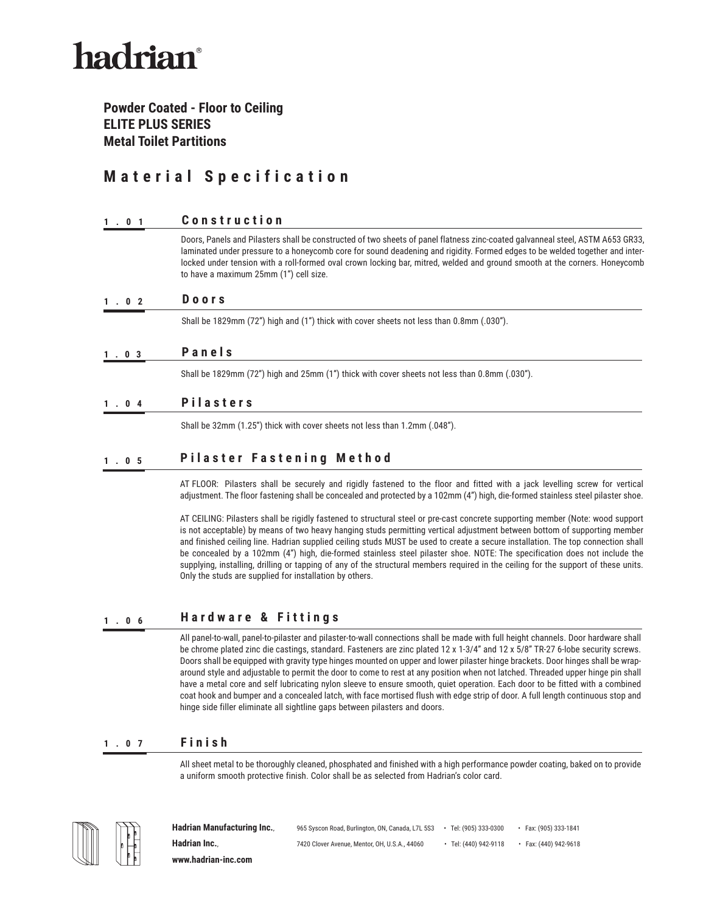# hadrian®

**Powder Coated - Floor to Ceiling ELITE PLUS SERIES Metal Toilet Partitions**

## **Material Specification**

#### **1.01 Construction**

Doors, Panels and Pilasters shall be constructed of two sheets of panel flatness zinc-coated galvanneal steel, ASTM A653 GR33, laminated under pressure to a honeycomb core for sound deadening and rigidity. Formed edges to be welded together and interlocked under tension with a roll-formed oval crown locking bar, mitred, welded and ground smooth at the corners. Honeycomb to have a maximum 25mm (1") cell size.

#### **1.02 Doors**

Shall be 1829mm (72") high and (1") thick with cover sheets not less than 0.8mm (.030").

### **1.03 Panels**

Shall be 1829mm (72") high and 25mm (1") thick with cover sheets not less than 0.8mm (.030").

#### **1.04 Pilasters**

Shall be 32mm (1.25") thick with cover sheets not less than 1.2mm (.048").

### **1.05 Pilaster Fastening Method**

AT FLOOR: Pilasters shall be securely and rigidly fastened to the floor and fitted with a jack levelling screw for vertical adjustment. The floor fastening shall be concealed and protected by a 102mm (4") high, die-formed stainless steel pilaster shoe.

AT CEILING: Pilasters shall be rigidly fastened to structural steel or pre-cast concrete supporting member (Note: wood support is not acceptable) by means of two heavy hanging studs permitting vertical adjustment between bottom of supporting member and finished ceiling line. Hadrian supplied ceiling studs MUST be used to create a secure installation. The top connection shall be concealed by a 102mm (4") high, die-formed stainless steel pilaster shoe. NOTE: The specification does not include the supplying, installing, drilling or tapping of any of the structural members required in the ceiling for the support of these units. Only the studs are supplied for installation by others.

### **1.06 Hardware & Fittings**

All panel-to-wall, panel-to-pilaster and pilaster-to-wall connections shall be made with full height channels. Door hardware shall be chrome plated zinc die castings, standard. Fasteners are zinc plated 12 x 1-3/4" and 12 x 5/8" TR-27 6-lobe security screws. Doors shall be equipped with gravity type hinges mounted on upper and lower pilaster hinge brackets. Door hinges shall be wraparound style and adjustable to permit the door to come to rest at any position when not latched. Threaded upper hinge pin shall have a metal core and self lubricating nylon sleeve to ensure smooth, quiet operation. Each door to be fitted with a combined coat hook and bumper and a concealed latch, with face mortised flush with edge strip of door. A full length continuous stop and hinge side filler eliminate all sightline gaps between pilasters and doors.

#### **1.07 Finish**

All sheet metal to be thoroughly cleaned, phosphated and finished with a high performance powder coating, baked on to provide a uniform smooth protective finish. Color shall be as selected from Hadrian's color card.



Hadrian Manufacturing Inc., 965 Syscon Road, Burlington, ON, Canada, L7L 5S3 • Tel: (905) 333-0300 • Fax: (905) 333-1841 **Hadrian Inc.**, **7420 Clover Avenue, Mentor, OH, U.S.A., 44060** • Tel: (440) 942-9118 • Fax: (440) 942-9618 **www.hadrian-inc.com**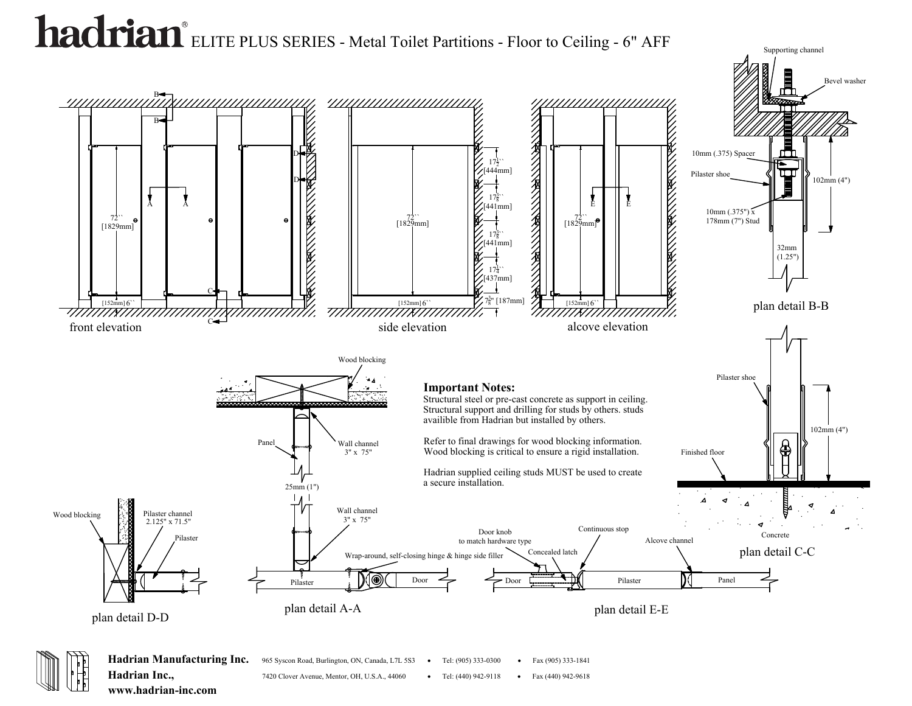

**Hadrian Inc.,**